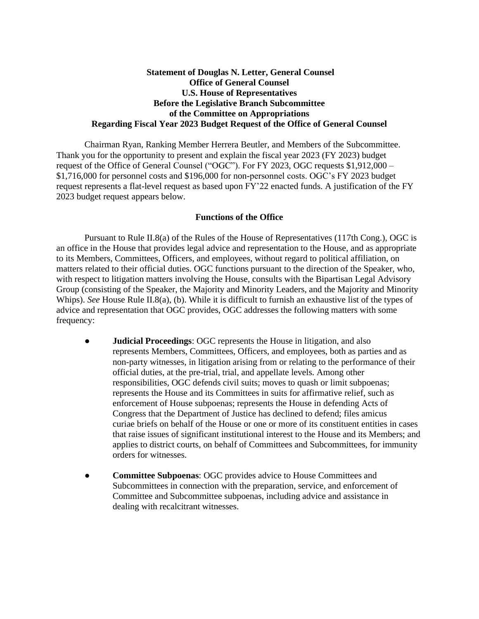## **Statement of Douglas N. Letter, General Counsel Office of General Counsel U.S. House of Representatives Before the Legislative Branch Subcommittee of the Committee on Appropriations Regarding Fiscal Year 2023 Budget Request of the Office of General Counsel**

Chairman Ryan, Ranking Member Herrera Beutler, and Members of the Subcommittee. Thank you for the opportunity to present and explain the fiscal year 2023 (FY 2023) budget request of the Office of General Counsel ("OGC"). For FY 2023, OGC requests \$1,912,000 – \$1,716,000 for personnel costs and \$196,000 for non-personnel costs. OGC's FY 2023 budget request represents a flat-level request as based upon FY'22 enacted funds. A justification of the FY 2023 budget request appears below.

## **Functions of the Office**

Pursuant to Rule II.8(a) of the Rules of the House of Representatives (117th Cong.), OGC is an office in the House that provides legal advice and representation to the House, and as appropriate to its Members, Committees, Officers, and employees, without regard to political affiliation, on matters related to their official duties. OGC functions pursuant to the direction of the Speaker, who, with respect to litigation matters involving the House, consults with the Bipartisan Legal Advisory Group (consisting of the Speaker, the Majority and Minority Leaders, and the Majority and Minority Whips). *See* House Rule II.8(a), (b). While it is difficult to furnish an exhaustive list of the types of advice and representation that OGC provides, OGC addresses the following matters with some frequency:

- **Judicial Proceedings: OGC** represents the House in litigation, and also represents Members, Committees, Officers, and employees, both as parties and as non-party witnesses, in litigation arising from or relating to the performance of their official duties, at the pre-trial, trial, and appellate levels. Among other responsibilities, OGC defends civil suits; moves to quash or limit subpoenas; represents the House and its Committees in suits for affirmative relief, such as enforcement of House subpoenas; represents the House in defending Acts of Congress that the Department of Justice has declined to defend; files amicus curiae briefs on behalf of the House or one or more of its constituent entities in cases that raise issues of significant institutional interest to the House and its Members; and applies to district courts, on behalf of Committees and Subcommittees, for immunity orders for witnesses.
- **Committee Subpoenas: OGC** provides advice to House Committees and Subcommittees in connection with the preparation, service, and enforcement of Committee and Subcommittee subpoenas, including advice and assistance in dealing with recalcitrant witnesses.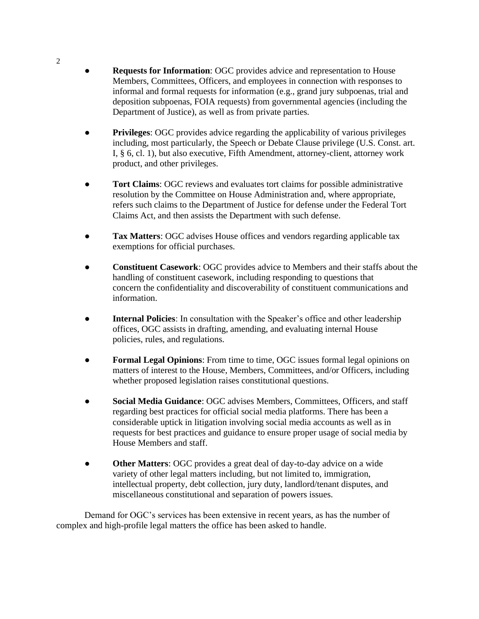- **Requests for Information**: OGC provides advice and representation to House Members, Committees, Officers, and employees in connection with responses to informal and formal requests for information (e.g., grand jury subpoenas, trial and deposition subpoenas, FOIA requests) from governmental agencies (including the Department of Justice), as well as from private parties.
- **Privileges:** OGC provides advice regarding the applicability of various privileges including, most particularly, the Speech or Debate Clause privilege (U.S. Const. art. I, § 6, cl. 1), but also executive, Fifth Amendment, attorney-client, attorney work product, and other privileges.
- Tort Claims: OGC reviews and evaluates tort claims for possible administrative resolution by the Committee on House Administration and, where appropriate, refers such claims to the Department of Justice for defense under the Federal Tort Claims Act, and then assists the Department with such defense.
- Tax Matters: OGC advises House offices and vendors regarding applicable tax exemptions for official purchases.
- **Constituent Casework**: OGC provides advice to Members and their staffs about the handling of constituent casework, including responding to questions that concern the confidentiality and discoverability of constituent communications and information.
- **Internal Policies**: In consultation with the Speaker's office and other leadership offices, OGC assists in drafting, amending, and evaluating internal House policies, rules, and regulations.
- **Formal Legal Opinions**: From time to time, OGC issues formal legal opinions on matters of interest to the House, Members, Committees, and/or Officers, including whether proposed legislation raises constitutional questions.
- **Social Media Guidance**: OGC advises Members, Committees, Officers, and staff regarding best practices for official social media platforms. There has been a considerable uptick in litigation involving social media accounts as well as in requests for best practices and guidance to ensure proper usage of social media by House Members and staff.
- **Other Matters**: OGC provides a great deal of day-to-day advice on a wide variety of other legal matters including, but not limited to, immigration, intellectual property, debt collection, jury duty, landlord/tenant disputes, and miscellaneous constitutional and separation of powers issues.

Demand for OGC's services has been extensive in recent years, as has the number of complex and high-profile legal matters the office has been asked to handle.

2